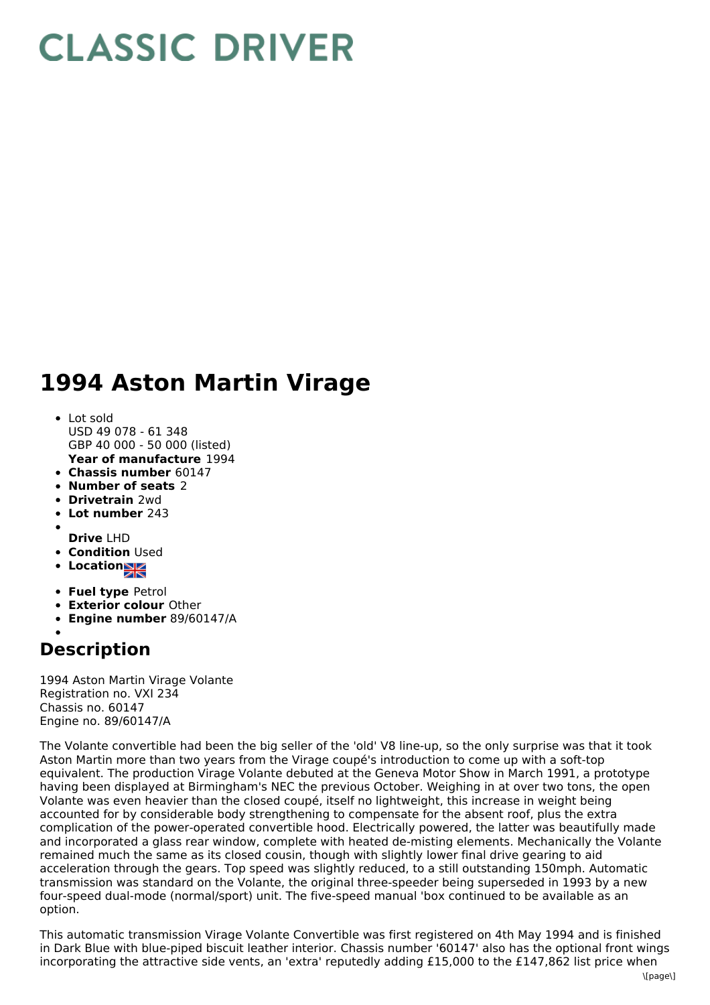## **CLASSIC DRIVER**

## **1994 Aston Martin Virage**

- **Year of manufacture** 1994 • Lot sold USD 49 078 - 61 348 GBP 40 000 - 50 000 (listed)
- **Chassis number** 60147
- **Number of seats** 2
- **Drivetrain** 2wd
- **Lot number** 243
- 
- **Drive** LHD
- **Condition Used**
- **Location**
- **Fuel type** Petrol
- **Exterior colour** Other
- **Engine number** 89/60147/A

## **Description**

1994 Aston Martin Virage Volante Registration no. VXI 234 Chassis no. 60147 Engine no. 89/60147/A

The Volante convertible had been the big seller of the 'old' V8 line-up, so the only surprise was that it took Aston Martin more than two years from the Virage coupé's introduction to come up with a soft-top equivalent. The production Virage Volante debuted at the Geneva Motor Show in March 1991, a prototype having been displayed at Birmingham's NEC the previous October. Weighing in at over two tons, the open Volante was even heavier than the closed coupé, itself no lightweight, this increase in weight being accounted for by considerable body strengthening to compensate for the absent roof, plus the extra complication of the power-operated convertible hood. Electrically powered, the latter was beautifully made and incorporated a glass rear window, complete with heated de-misting elements. Mechanically the Volante remained much the same as its closed cousin, though with slightly lower final drive gearing to aid acceleration through the gears. Top speed was slightly reduced, to a still outstanding 150mph. Automatic transmission was standard on the Volante, the original three-speeder being superseded in 1993 by a new four-speed dual-mode (normal/sport) unit. The five-speed manual 'box continued to be available as an option.

This automatic transmission Virage Volante Convertible was first registered on 4th May 1994 and is finished in Dark Blue with blue-piped biscuit leather interior. Chassis number '60147' also has the optional front wings incorporating the attractive side vents, an 'extra' reputedly adding £15,000 to the £147,862 list price when